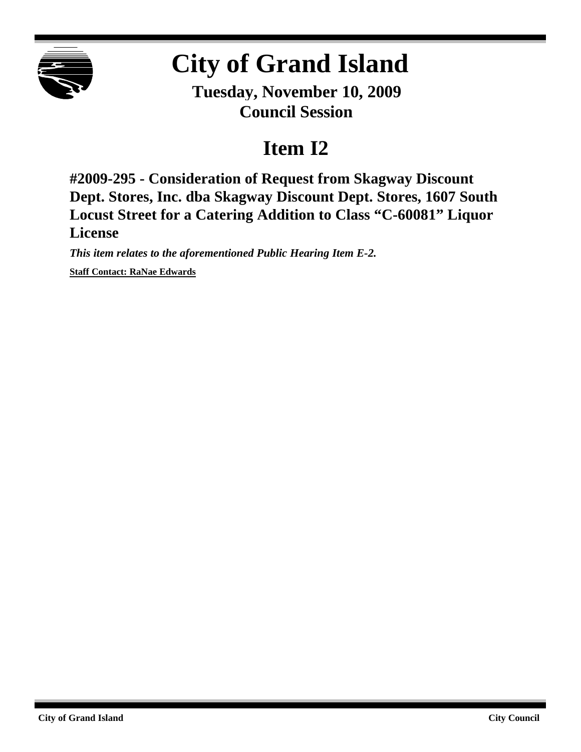

## **City of Grand Island**

**Tuesday, November 10, 2009 Council Session**

## **Item I2**

**#2009-295 - Consideration of Request from Skagway Discount Dept. Stores, Inc. dba Skagway Discount Dept. Stores, 1607 South Locust Street for a Catering Addition to Class "C-60081" Liquor License**

*This item relates to the aforementioned Public Hearing Item E-2.* **Staff Contact: RaNae Edwards**